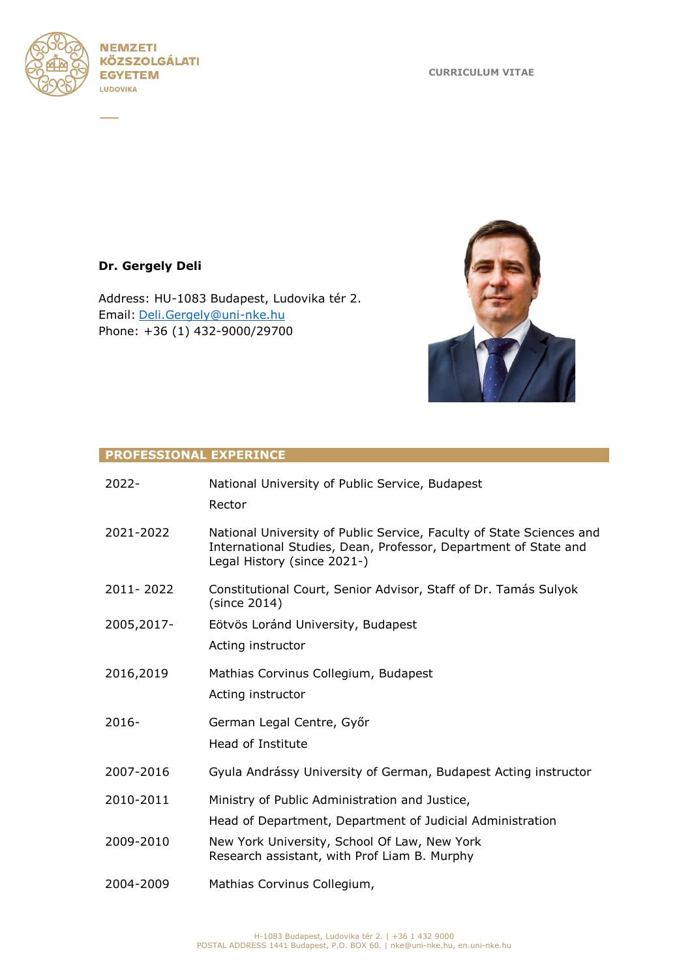



# **Dr. Gergely Deli**

Address: HU-1083 Budapest, Ludovika tér 2. Email: [Deli.Gergely@uni-nke.hu](mailto:Deli.Gergely@uni-nke.hu) Phone: +36 (1) 432-9000/29700



### **PROFESSIONAL EXPERINCE**

| 2022-      | National University of Public Service, Budapest<br>Rector                                                                                                              |
|------------|------------------------------------------------------------------------------------------------------------------------------------------------------------------------|
| 2021-2022  | National University of Public Service, Faculty of State Sciences and<br>International Studies, Dean, Professor, Department of State and<br>Legal History (since 2021-) |
| 2011-2022  | Constitutional Court, Senior Advisor, Staff of Dr. Tamás Sulyok<br>(since 2014)                                                                                        |
| 2005,2017- | Eötvös Loránd University, Budapest<br>Acting instructor                                                                                                                |
| 2016,2019  | Mathias Corvinus Collegium, Budapest<br>Acting instructor                                                                                                              |
| $2016-$    | German Legal Centre, Győr<br>Head of Institute                                                                                                                         |
| 2007-2016  | Gyula Andrássy University of German, Budapest Acting instructor                                                                                                        |
| 2010-2011  | Ministry of Public Administration and Justice,<br>Head of Department, Department of Judicial Administration                                                            |
| 2009-2010  | New York University, School Of Law, New York<br>Research assistant, with Prof Liam B. Murphy                                                                           |
| 2004-2009  | Mathias Corvinus Collegium,                                                                                                                                            |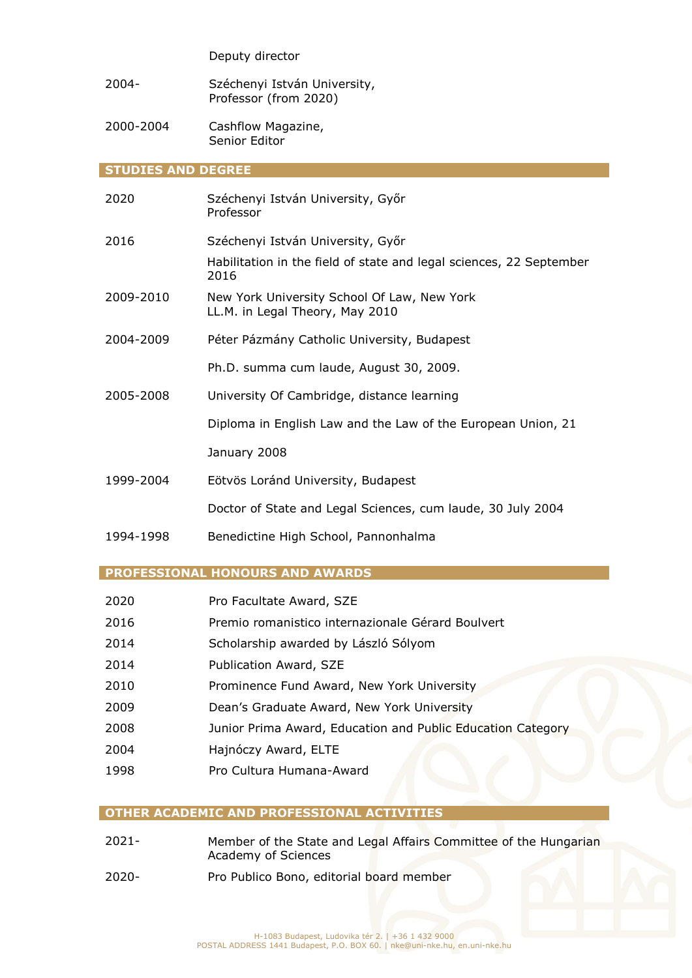#### Deputy director

- 2004- Széchenyi István University, Professor (from 2020)
- 2000-2004 Cashflow Magazine, Senior Editor

#### **STUDIES AND DEGREE**

| 2020      | Széchenyi István University, Győr<br>Professor                                 |
|-----------|--------------------------------------------------------------------------------|
| 2016      | Széchenyi István University, Győr                                              |
|           | Habilitation in the field of state and legal sciences, 22 September<br>2016    |
| 2009-2010 | New York University School Of Law, New York<br>LL.M. in Legal Theory, May 2010 |
| 2004-2009 | Péter Pázmány Catholic University, Budapest                                    |
|           | Ph.D. summa cum laude, August 30, 2009.                                        |
| 2005-2008 | University Of Cambridge, distance learning                                     |
|           | Diploma in English Law and the Law of the European Union, 21                   |
|           | January 2008                                                                   |
| 1999-2004 | Eötvös Loránd University, Budapest                                             |
|           | Doctor of State and Legal Sciences, cum laude, 30 July 2004                    |
| 10011000  | Descentiations think Calculat Descendable las                                  |

1994-1998 Benedictine High School, Pannonhalma

#### **PROFESSIONAL HONOURS AND AWARDS**

- 2020 Pro Facultate Award, SZE
- 2016 Premio romanistico internazionale Gérard Boulvert
- 2014 Scholarship awarded by László Sólyom
- 2014 Publication Award, SZE
- 2010 Prominence Fund Award, New York University
- 2009 Dean's Graduate Award, New York University
- 2008 Junior Prima Award, Education and Public Education Category
- 2004 Hajnóczy Award, ELTE
- 1998 Pro Cultura Humana-Award

## **OTHER ACADEMIC AND PROFESSIONAL ACTIVITIES**

- 2021- Member of the State and Legal Affairs Committee of the Hungarian Academy of Sciences
- 2020- Pro Publico Bono, editorial board member